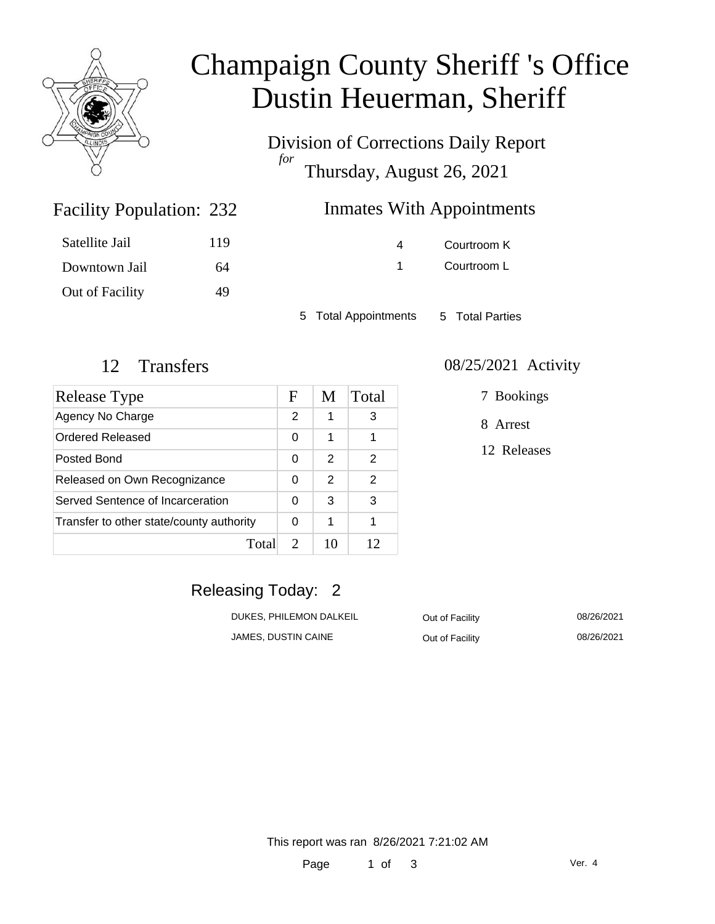

# Champaign County Sheriff 's Office Dustin Heuerman, Sheriff

Division of Corrections Daily Report *for* Thursday, August 26, 2021

# **Inmates With Appointments**

| 119 |
|-----|
| 64  |
| 49  |
|     |

Facility Population: 232

4 Courtroom K 1 Courtroom L

5 Total Appointments 5 Total Parties

| Release Type                             | F                           | M  | Total         |
|------------------------------------------|-----------------------------|----|---------------|
| Agency No Charge                         | 2                           | 1  | 3             |
| Ordered Released                         | 0                           | 1  | 1             |
| Posted Bond                              | 0                           | 2  | 2             |
| Released on Own Recognizance             | 0                           | 2  | $\mathcal{P}$ |
| Served Sentence of Incarceration         | 0                           | 3  | 3             |
| Transfer to other state/county authority | 0                           | 1  | 1             |
| Total                                    | $\mathcal{D}_{\mathcal{L}}$ | 10 | 12            |

#### 12 Transfers 08/25/2021 Activity

7 Bookings

8 Arrest

12 Releases

# Releasing Today: 2

| DUKES. PHILEMON DALKEIL | Out of Facility | 08/26/2021 |
|-------------------------|-----------------|------------|
| JAMES, DUSTIN CAINE     | Out of Facility | 08/26/2021 |

This report was ran 8/26/2021 7:21:02 AM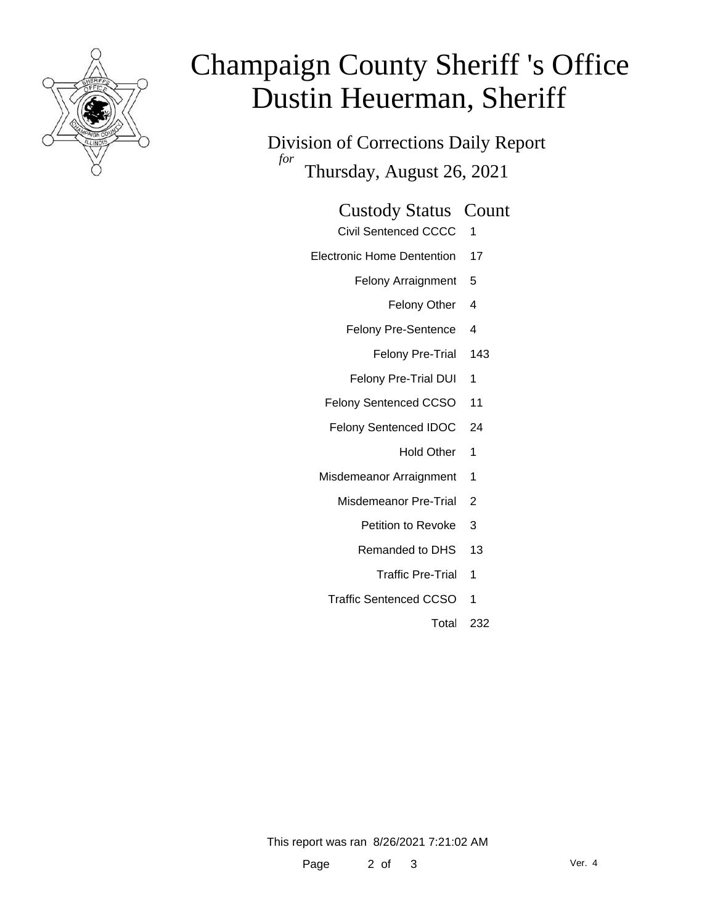

# Champaign County Sheriff 's Office Dustin Heuerman, Sheriff

Division of Corrections Daily Report *for* Thursday, August 26, 2021

#### Custody Status Count

- Civil Sentenced CCCC 1
- Electronic Home Dentention 17
	- Felony Arraignment 5
		- Felony Other 4
	- Felony Pre-Sentence 4
		- Felony Pre-Trial 143
	- Felony Pre-Trial DUI 1
	- Felony Sentenced CCSO 11
	- Felony Sentenced IDOC 24
		- Hold Other 1
	- Misdemeanor Arraignment 1
		- Misdemeanor Pre-Trial 2
			- Petition to Revoke 3
			- Remanded to DHS 13
				- Traffic Pre-Trial 1
		- Traffic Sentenced CCSO 1
			- Total 232

This report was ran 8/26/2021 7:21:02 AM